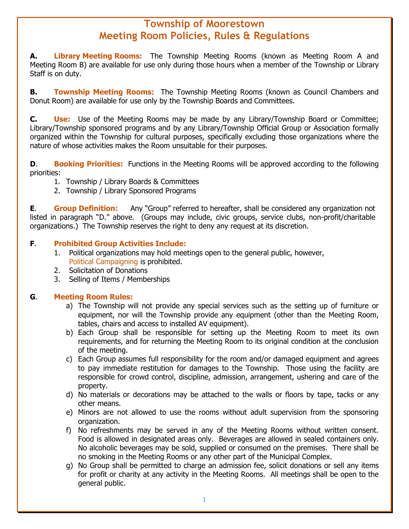## **Township of Moorestown Meeting Room Policies, Rules & Regulations**

**A. Library Meeting Rooms:** The Township Meeting Rooms (known as Meeting Room A and Meeting Room B) are available for use only during those hours when a member of the Township or Library Staff is on duty.

**B. Township Meeting Rooms:** The Township Meeting Rooms (known as Council Chambers and Donut Room) are available for use only by the Township Boards and Committees.

**C. Use:** Use of the Meeting Rooms may be made by any Library/Township Board or Committee; Library/Township sponsored programs and by any Library/Township Official Group or Association formally organized within the Township for cultural purposes, specifically excluding those organizations where the nature of whose activities makes the Room unsuitable for their purposes.

**D. <b>Booking Priorities:** Functions in the Meeting Rooms will be approved according to the following priorities:

- 1. Township / Library Boards & Committees
- 2. Township / Library Sponsored Programs

**E. Group Definition:** Any "Group" referred to hereafter, shall be considered any organization not listed in paragraph "D." above. (Groups may include, civic groups, service clubs, non-profit/charitable organizations.) The Township reserves the right to deny any request at its discretion.

## **F**. **Prohibited Group Activities Include:**

- 1. Political organizations may hold meetings open to the general public, however, Political Campaigning is prohibited.
- 2. Solicitation of Donations
- 3. Selling of Items / Memberships

## **G**. **Meeting Room Rules:**

- a) The Township will not provide any special services such as the setting up of furniture or equipment, nor will the Township provide any equipment (other than the Meeting Room, tables, chairs and access to installed AV equipment).
- b) Each Group shall be responsible for setting up the Meeting Room to meet its own requirements, and for returning the Meeting Room to its original condition at the conclusion of the meeting.
- c) Each Group assumes full responsibility for the room and/or damaged equipment and agrees to pay immediate restitution for damages to the Township. Those using the facility are responsible for crowd control, discipline, admission, arrangement, ushering and care of the property.
- d) No materials or decorations may be attached to the walls or floors by tape, tacks or any other means.
- e) Minors are not allowed to use the rooms without adult supervision from the sponsoring organization.
- f) No refreshments may be served in any of the Meeting Rooms without written consent. Food is allowed in designated areas only. Beverages are allowed in sealed containers only. No alcoholic beverages may be sold, supplied or consumed on the premises. There shall be no smoking in the Meeting Rooms or any other part of the Municipal Complex.
- g) No Group shall be permitted to charge an admission fee, solicit donations or sell any items for profit or charity at any activity in the Meeting Rooms. All meetings shall be open to the general public.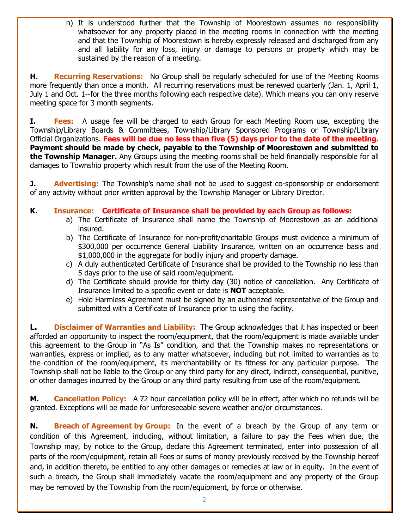h) It is understood further that the Township of Moorestown assumes no responsibility whatsoever for any property placed in the meeting rooms in connection with the meeting and that the Township of Moorestown is hereby expressly released and discharged from any and all liability for any loss, injury or damage to persons or property which may be sustained by the reason of a meeting.

**H. Recurring Reservations:** No Group shall be regularly scheduled for use of the Meeting Rooms more frequently than once a month. All recurring reservations must be renewed quarterly (Jan. 1, April 1, July 1 and Oct. 1--for the three months following each respective date). Which means you can only reserve meeting space for 3 month segments.

**I. Fees:** A usage fee will be charged to each Group for each Meeting Room use, excepting the Township/Library Boards & Committees, Township/Library Sponsored Programs or Township/Library Official Organizations. **Fees will be due no less than five (5) days prior to the date of the meeting. Payment should be made by check, payable to the Township of Moorestown and submitted to the Township Manager.** Any Groups using the meeting rooms shall be held financially responsible for all damages to Township property which result from the use of the Meeting Room.

**J.** Advertising: The Township's name shall not be used to suggest co-sponsorship or endorsement of any activity without prior written approval by the Township Manager or Library Director.

- **K**. **Insurance: Certificate of Insurance shall be provided by each Group as follows:**
	- a) The Certificate of Insurance shall name the Township of Moorestown as an additional insured.
	- b) The Certificate of Insurance for non-profit/charitable Groups must evidence a minimum of \$300,000 per occurrence General Liability Insurance, written on an occurrence basis and \$1,000,000 in the aggregate for bodily injury and property damage.
	- c) A duly authenticated Certificate of Insurance shall be provided to the Township no less than 5 days prior to the use of said room/equipment.
	- d) The Certificate should provide for thirty day (30) notice of cancellation. Any Certificate of Insurance limited to a specific event or date is **NOT** acceptable.
	- e) Hold Harmless Agreement must be signed by an authorized representative of the Group and submitted with a Certificate of Insurance prior to using the facility.

**L. Disclaimer of Warranties and Liability:** The Group acknowledges that it has inspected or been afforded an opportunity to inspect the room/equipment, that the room/equipment is made available under this agreement to the Group in "As Is" condition, and that the Township makes no representations or warranties, express or implied, as to any matter whatsoever, including but not limited to warranties as to the condition of the room/equipment, its merchantability or its fitness for any particular purpose. The Township shall not be liable to the Group or any third party for any direct, indirect, consequential, punitive, or other damages incurred by the Group or any third party resulting from use of the room/equipment.

**M.** Cancellation Policy: A 72 hour cancellation policy will be in effect, after which no refunds will be granted. Exceptions will be made for unforeseeable severe weather and/or circumstances.

**N. Breach of Agreement by Group:** In the event of a breach by the Group of any term or condition of this Agreement, including, without limitation, a failure to pay the Fees when due, the Township may, by notice to the Group, declare this Agreement terminated, enter into possession of all parts of the room/equipment, retain all Fees or sums of money previously received by the Township hereof and, in addition thereto, be entitled to any other damages or remedies at law or in equity. In the event of such a breach, the Group shall immediately vacate the room/equipment and any property of the Group may be removed by the Township from the room/equipment, by force or otherwise.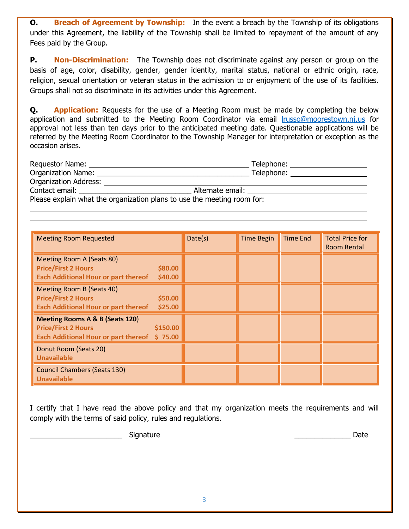**O. Breach of Agreement by Township:** In the event a breach by the Township of its obligations under this Agreement, the liability of the Township shall be limited to repayment of the amount of any Fees paid by the Group.

**P. Non-Discrimination:** The Township does not discriminate against any person or group on the basis of age, color, disability, gender, gender identity, marital status, national or ethnic origin, race, religion, sexual orientation or veteran status in the admission to or enjoyment of the use of its facilities. Groups shall not so discriminate in its activities under this Agreement.

**Q. Application:** Requests for the use of a Meeting Room must be made by completing the below application and submitted to the Meeting Room Coordinator via email [lrusso@moorestown.nj.us](mailto:lrusso@moorestown.nj.us) for approval not less than ten days prior to the anticipated meeting date. Questionable applications will be referred by the Meeting Room Coordinator to the Township Manager for interpretation or exception as the occasion arises.

| Requestor Name:                                                         | Telephone:       |  |  |  |  |
|-------------------------------------------------------------------------|------------------|--|--|--|--|
| <b>Organization Name:</b>                                               | Telephone:       |  |  |  |  |
| <b>Organization Address:</b>                                            |                  |  |  |  |  |
| Contact email:                                                          | Alternate email: |  |  |  |  |
| Please explain what the organization plans to use the meeting room for: |                  |  |  |  |  |
|                                                                         |                  |  |  |  |  |

| <b>Meeting Room Requested</b>                                                                                                | Date(s) | <b>Time Begin</b> | <b>Time End</b> | <b>Total Price for</b><br>Room Rental |
|------------------------------------------------------------------------------------------------------------------------------|---------|-------------------|-----------------|---------------------------------------|
| Meeting Room A (Seats 80)<br>\$80.00<br><b>Price/First 2 Hours</b><br>\$40.00<br><b>Each Additional Hour or part thereof</b> |         |                   |                 |                                       |
| Meeting Room B (Seats 40)<br>\$50.00<br><b>Price/First 2 Hours</b><br><b>Each Additional Hour or part thereof</b><br>\$25.00 |         |                   |                 |                                       |
| Meeting Rooms A & B (Seats 120)<br>\$150.00<br><b>Price/First 2 Hours</b><br>Each Additional Hour or part thereof \$75.00    |         |                   |                 |                                       |
| Donut Room (Seats 20)<br><b>Unavailable</b>                                                                                  |         |                   |                 |                                       |
| <b>Council Chambers (Seats 130)</b><br><b>Unavailable</b>                                                                    |         |                   |                 |                                       |

I certify that I have read the above policy and that my organization meets the requirements and will comply with the terms of said policy, rules and regulations.

\_\_\_\_\_\_\_\_\_\_\_\_\_\_\_\_\_\_\_\_\_\_\_ Signature \_\_\_\_\_\_\_\_\_\_\_\_\_\_ Date